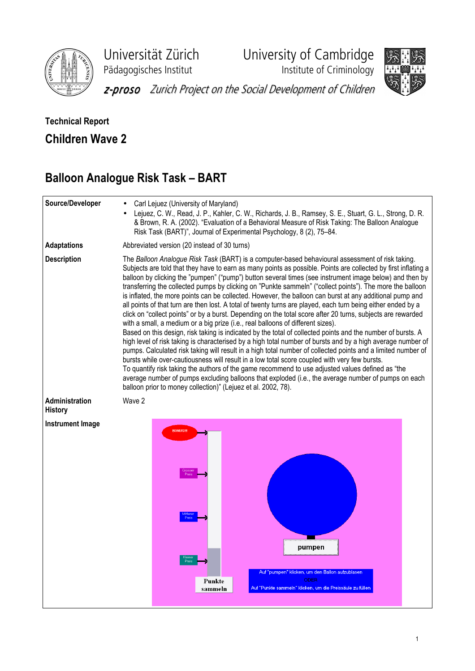

Universität Zürich University of Cambridge

Pädagogisches Institut Institute of Criminology



z-proso Zurich Project on the Social Development of Children

## Technical Report Children Wave 2

## Balloon Analogue Risk Task – BART

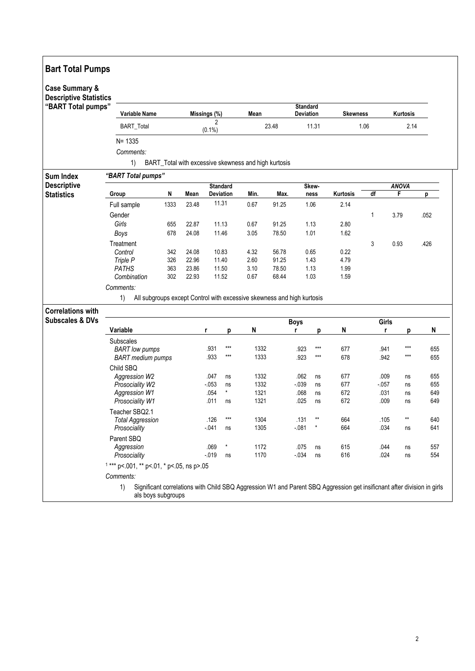| <b>Descriptive Statistics</b><br>"BART Total pumps"    | <b>Variable Name</b>                               |      |                 |                             |         | Mean                                                                   |       | <b>Standard</b><br>Deviation |                 | <b>Skewness</b> |              | Kurtosis     |          |            |  |  |  |
|--------------------------------------------------------|----------------------------------------------------|------|-----------------|-----------------------------|---------|------------------------------------------------------------------------|-------|------------------------------|-----------------|-----------------|--------------|--------------|----------|------------|--|--|--|
|                                                        | <b>BART_Total</b>                                  |      |                 | $\overline{2}$<br>$(0.1\%)$ |         | 23.48                                                                  |       |                              | 11.31           | 1.06            |              | 2.14         |          |            |  |  |  |
|                                                        | $N = 1335$                                         |      |                 |                             |         |                                                                        |       |                              |                 |                 |              |              |          |            |  |  |  |
|                                                        | Comments:                                          |      |                 |                             |         |                                                                        |       |                              |                 |                 |              |              |          |            |  |  |  |
|                                                        | 1)                                                 |      |                 |                             |         | BART_Total with excessive skewness and high kurtosis                   |       |                              |                 |                 |              |              |          |            |  |  |  |
| <b>Sum Index</b>                                       | "BART Total pumps"                                 |      |                 |                             |         |                                                                        |       |                              |                 |                 |              |              |          |            |  |  |  |
| <b>Descriptive</b>                                     |                                                    |      | <b>Standard</b> |                             |         |                                                                        |       | Skew-                        |                 |                 |              | <b>ANOVA</b> |          |            |  |  |  |
| <b>Statistics</b>                                      | Group                                              | N    | Mean            | <b>Deviation</b><br>11.31   |         | Min.                                                                   | Max.  | ness                         |                 | Kurtosis        | df           | F            |          | p          |  |  |  |
|                                                        | Full sample                                        | 1333 | 23.48           |                             |         | 0.67                                                                   | 91.25 | 1.06                         |                 | 2.14            |              |              |          |            |  |  |  |
|                                                        | Gender<br>Girls                                    | 655  | 22.87           | 11.13                       |         | 0.67                                                                   | 91.25 | 1.13                         |                 | 2.80            | 1            | 3.79         |          | .052       |  |  |  |
|                                                        | Boys                                               | 678  | 24.08           | 11.46                       |         | 3.05                                                                   | 78.50 | 1.01                         |                 | 1.62            |              |              |          |            |  |  |  |
|                                                        | Treatment                                          |      |                 |                             |         |                                                                        |       |                              |                 |                 | 3            | 0.93         |          | .426       |  |  |  |
|                                                        | Control                                            | 342  | 24.08           | 10.83                       |         | 4.32                                                                   | 56.78 | 0.65                         |                 | 0.22            |              |              |          |            |  |  |  |
|                                                        | Triple P                                           | 326  | 22.96           | 11.40                       |         | 2.60                                                                   | 91.25 | 1.43                         |                 | 4.79            |              |              |          |            |  |  |  |
|                                                        | <b>PATHS</b>                                       | 363  | 23.86           | 11.50                       |         | 3.10                                                                   | 78.50 | 1.13                         |                 | 1.99            |              |              |          |            |  |  |  |
|                                                        | Combination                                        | 302  | 22.93           | 11.52                       |         | 0.67                                                                   | 68.44 | 1.03                         |                 | 1.59            |              |              |          |            |  |  |  |
|                                                        | Comments:                                          |      |                 |                             |         |                                                                        |       |                              |                 |                 |              |              |          |            |  |  |  |
|                                                        |                                                    |      |                 |                             |         |                                                                        |       |                              |                 |                 |              |              |          |            |  |  |  |
|                                                        | 1)                                                 |      |                 |                             |         | All subgroups except Control with excessive skewness and high kurtosis |       |                              |                 |                 |              |              |          |            |  |  |  |
|                                                        |                                                    |      |                 |                             |         |                                                                        |       |                              |                 |                 |              |              |          |            |  |  |  |
|                                                        |                                                    |      |                 |                             |         |                                                                        |       | <b>Boys</b>                  |                 |                 |              | Girls        |          |            |  |  |  |
|                                                        | Variable                                           |      |                 | r                           | р       | N                                                                      |       | r                            | р               | N               |              | r            | р        | N          |  |  |  |
|                                                        | Subscales                                          |      |                 |                             |         |                                                                        |       |                              |                 |                 |              |              |          |            |  |  |  |
|                                                        | <b>BART</b> low pumps                              |      |                 | .931                        | $***$   | 1332                                                                   |       | .923                         | $***$           | 677             | .941         |              | ***      | 655        |  |  |  |
|                                                        | <b>BART</b> medium pumps                           |      |                 | .933                        | $***$   | 1333                                                                   |       | .923                         | $***$           | 678             | .942         |              | $***$    | 655        |  |  |  |
|                                                        | Child SBQ                                          |      |                 |                             |         |                                                                        |       |                              |                 |                 |              |              |          |            |  |  |  |
|                                                        | Aggression W2                                      |      |                 | .047                        | ns      | 1332                                                                   |       | .062                         | ns              | 677             | .009         |              | ns       | 655        |  |  |  |
|                                                        | Prosociality W2                                    |      |                 | $-053$                      | ns<br>* | 1332                                                                   |       | $-0.39$                      | ns              | 677             | $-057$       |              | ns       | 655        |  |  |  |
|                                                        | Aggression W1                                      |      |                 | .054<br>.011                | ns      | 1321<br>1321                                                           |       | .068<br>.025                 | ns<br>ns        | 672<br>672      | .031<br>.009 |              | ns<br>ns | 649<br>649 |  |  |  |
|                                                        | Prosociality W1                                    |      |                 |                             |         |                                                                        |       |                              |                 |                 |              |              |          |            |  |  |  |
|                                                        | Teacher SBQ2.1                                     |      |                 | .126                        | ***     | 1304                                                                   |       | .131                         | $^{\star\star}$ | 664             |              |              | **       | 640        |  |  |  |
|                                                        | <b>Total Aggression</b><br>Prosociality            |      |                 | $-041$                      | ns      | 1305                                                                   |       | $-081$                       |                 | 664             | .105<br>.034 |              | ns       | 641        |  |  |  |
|                                                        |                                                    |      |                 |                             |         |                                                                        |       |                              |                 |                 |              |              |          |            |  |  |  |
|                                                        | Parent SBQ<br>Aggression                           |      |                 | $^\star$<br>.069            |         | 1172                                                                   |       | .075                         | ns              | 615             | .044         |              | ns       | 557        |  |  |  |
|                                                        | Prosociality                                       |      |                 | $-019$                      | ns      | 1170                                                                   |       | $-034$                       | ns              | 616             | .024         |              | ns       | 554        |  |  |  |
|                                                        | $1***$ p <. 001, ** p <. 01, * p <. 05, ns p >. 05 |      |                 |                             |         |                                                                        |       |                              |                 |                 |              |              |          |            |  |  |  |
| <b>Correlations with</b><br><b>Subscales &amp; DVs</b> | Comments:                                          |      |                 |                             |         |                                                                        |       |                              |                 |                 |              |              |          |            |  |  |  |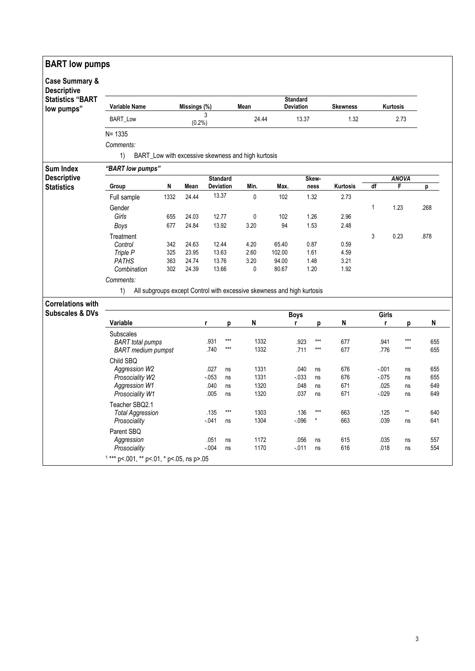| <b>BART</b> low pumps                           |                                                                       |            |                |                  |                 |                                                                        |                                     |                 |                   |                 |                  |       |                |            |
|-------------------------------------------------|-----------------------------------------------------------------------|------------|----------------|------------------|-----------------|------------------------------------------------------------------------|-------------------------------------|-----------------|-------------------|-----------------|------------------|-------|----------------|------------|
| <b>Case Summary &amp;</b><br><b>Descriptive</b> |                                                                       |            |                |                  |                 |                                                                        |                                     |                 |                   |                 |                  |       |                |            |
| <b>Statistics "BART</b><br>low pumps"           | Variable Name                                                         |            | Missings (%)   |                  |                 | Mean                                                                   | <b>Standard</b><br><b>Deviation</b> |                 |                   | <b>Skewness</b> | Kurtosis<br>2.73 |       |                |            |
|                                                 | BART_Low                                                              |            |                | 3<br>$(0.2\%)$   |                 | 24.44                                                                  |                                     | 13.37           |                   | 1.32            |                  |       |                |            |
|                                                 | $N = 1335$                                                            |            |                |                  |                 |                                                                        |                                     |                 |                   |                 |                  |       |                |            |
|                                                 | Comments:<br>1)<br>BART_Low with excessive skewness and high kurtosis |            |                |                  |                 |                                                                        |                                     |                 |                   |                 |                  |       |                |            |
| <b>Sum Index</b>                                | "BART low pumps"                                                      |            |                |                  |                 |                                                                        |                                     |                 |                   |                 |                  |       |                |            |
| <b>Descriptive</b>                              |                                                                       |            |                |                  | <b>Standard</b> |                                                                        | Skew-                               |                 |                   | <b>ANOVA</b>    |                  |       |                |            |
| <b>Statistics</b>                               | Group                                                                 | N          | Mean           |                  | Deviation       | Min.                                                                   | Max.                                |                 | ness              | Kurtosis        | df               | F     |                | р          |
|                                                 | Full sample                                                           | 1332       | 24.44          | 13.37            |                 | $\mathbf 0$                                                            | 102                                 |                 | 1.32              | 2.73            |                  |       |                |            |
|                                                 | Gender                                                                |            |                |                  |                 |                                                                        |                                     |                 |                   |                 | 1                | 1.23  |                | .268       |
|                                                 | Girls                                                                 | 655        | 24.03          | 12.77            |                 | $\mathbf 0$                                                            | 102                                 |                 | 1.26              | 2.96            |                  |       |                |            |
|                                                 | Boys                                                                  | 677        | 24.84          | 13.92            |                 | 3.20                                                                   | 94                                  |                 | 1.53              | 2.48            |                  |       |                |            |
|                                                 | Treatment                                                             |            |                |                  |                 |                                                                        |                                     |                 |                   |                 | 3                | 0.23  |                | .878       |
|                                                 | Control                                                               | 342        | 24.63          | 12.44            |                 | 4.20                                                                   | 65.40                               |                 | 0.87              | 0.59            |                  |       |                |            |
|                                                 | Triple P                                                              | 325        | 23.95          | 13.63<br>13.76   |                 | 2.60                                                                   | 102.00                              |                 | 1.61              | 4.59<br>3.21    |                  |       |                |            |
|                                                 | <b>PATHS</b><br>Combination                                           | 363<br>302 | 24.74<br>24.39 | 13.66            |                 | 3.20<br>$\mathbf 0$                                                    | 94.00<br>80.67                      |                 | 1.48<br>1.20      | 1.92            |                  |       |                |            |
|                                                 | Comments:                                                             |            |                |                  |                 |                                                                        |                                     |                 |                   |                 |                  |       |                |            |
|                                                 | 1)                                                                    |            |                |                  |                 | All subgroups except Control with excessive skewness and high kurtosis |                                     |                 |                   |                 |                  |       |                |            |
| <b>Correlations with</b>                        |                                                                       |            |                |                  |                 |                                                                        |                                     |                 |                   |                 |                  |       |                |            |
| <b>Subscales &amp; DVs</b>                      |                                                                       |            |                |                  |                 |                                                                        |                                     | <b>Boys</b>     |                   |                 |                  | Girls |                |            |
|                                                 | Variable                                                              |            |                | r                | p               | N                                                                      |                                     | r               | p                 | N               |                  | r     | p              | N          |
|                                                 | <b>Subscales</b>                                                      |            |                |                  |                 |                                                                        |                                     |                 |                   |                 |                  |       |                |            |
|                                                 | <b>BART</b> total pumps                                               |            |                | .931             | $***$<br>$***$  | 1332                                                                   |                                     | .923            | $***$             | 677             | .941             |       | $***$<br>$***$ | 655        |
|                                                 | <b>BART</b> medium pumpst                                             |            |                | .740             |                 | 1332                                                                   |                                     | .711            | $\star\star\star$ | 677             |                  | .776  |                | 655        |
|                                                 | Child SBQ                                                             |            |                |                  |                 |                                                                        |                                     |                 |                   |                 |                  |       |                |            |
|                                                 | Aggression W2<br>Prosociality W2                                      |            |                | .027<br>$-0.053$ | ns<br>ns        | 1331<br>1331                                                           |                                     | .040<br>$-0.33$ | ns<br>ns          | 676<br>676      | $-001$<br>$-075$ |       | ns<br>ns       | 655<br>655 |
|                                                 | Aggression W1                                                         |            |                | .040             | ns              | 1320                                                                   |                                     | .048            | ns                | 671             |                  | .025  | ns             | 649        |
|                                                 | Prosociality W1                                                       |            |                | .005             | ns              | 1320                                                                   |                                     | .037            | ns                | 671             | $-0.029$         |       | ns             | 649        |
|                                                 | Teacher SBQ2.1                                                        |            |                |                  |                 |                                                                        |                                     |                 |                   |                 |                  |       |                |            |
|                                                 | <b>Total Aggression</b>                                               |            |                | .135             | $***$           | 1303                                                                   |                                     | .136            | ***               | 663             |                  | .125  | $\star\star$   | 640        |
|                                                 | Prosociality                                                          |            |                | - 041            | ns              | 1304                                                                   |                                     | $-0.96$         | $\star$           | 663             |                  | .039  | ns             | 641        |
|                                                 | Parent SBQ                                                            |            |                |                  |                 |                                                                        |                                     |                 |                   |                 |                  |       |                |            |
|                                                 | Aggression                                                            |            |                | .051             | ns              | 1172                                                                   |                                     | .056            | ns                | 615             |                  | .035  | ns             | 557        |
|                                                 | Prosociality                                                          |            |                | $-0.004$         | ns              | 1170                                                                   |                                     | $-0.011$        | ns                | 616             |                  | .018  | ns             | 554        |
|                                                 | $1***$ p<.001, ** p<.01, * p<.05, ns p>.05                            |            |                |                  |                 |                                                                        |                                     |                 |                   |                 |                  |       |                |            |